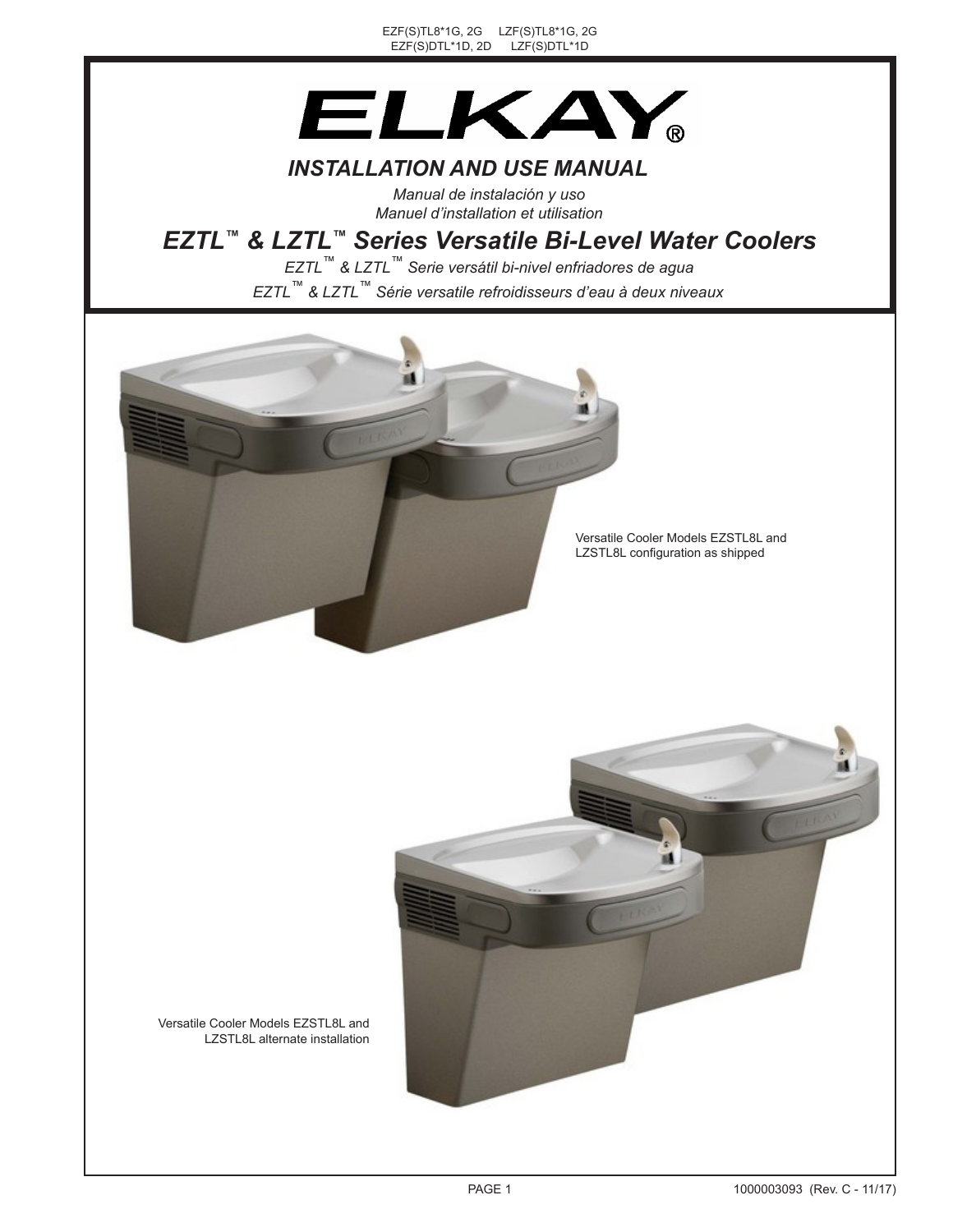EZF(S)TL8\*1G, 2G LZF(S)TL8\*1G, 2G EZF(S)DTL\*1D, 2D LZF(S)DTL\*1D



## *INSTALLATION AND USE MANUAL*

*Manual de instalación y uso Manuel d'installation et utilisation*

# *EZTL™ & LZTL™ Series Versatile Bi-Level Water Coolers*

*EZTL™ & LZTL™ Série versatile refroidisseurs d'eau à deux niveaux EZTL™ & LZTL™ Serie versátil bi-nivel enfriadores de agua*





Versatile Cooler Models EZSTL8L and LZSTL8L alternate installation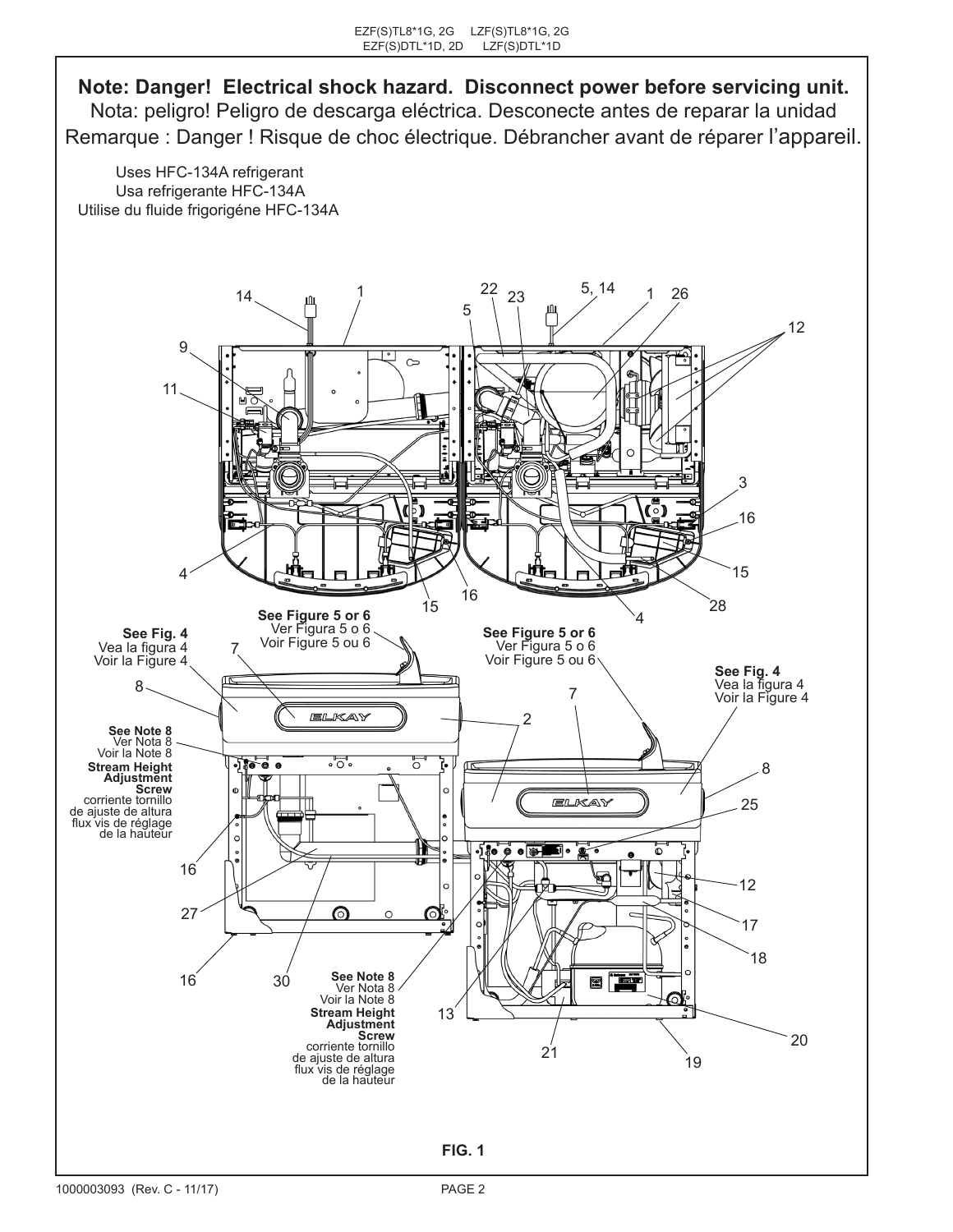**Note: Danger! Electrical shock hazard. Disconnect power before servicing unit.** Nota: peligro! Peligro de descarga eléctrica. Desconecte antes de reparar la unidad Remarque : Danger ! Risque de choc électrique. Débrancher avant de réparer l'appareil.

Uses HFC-134A refrigerant Usa refrigerante HFC-134A Utilise du fluide frigorigéne HFC-134A

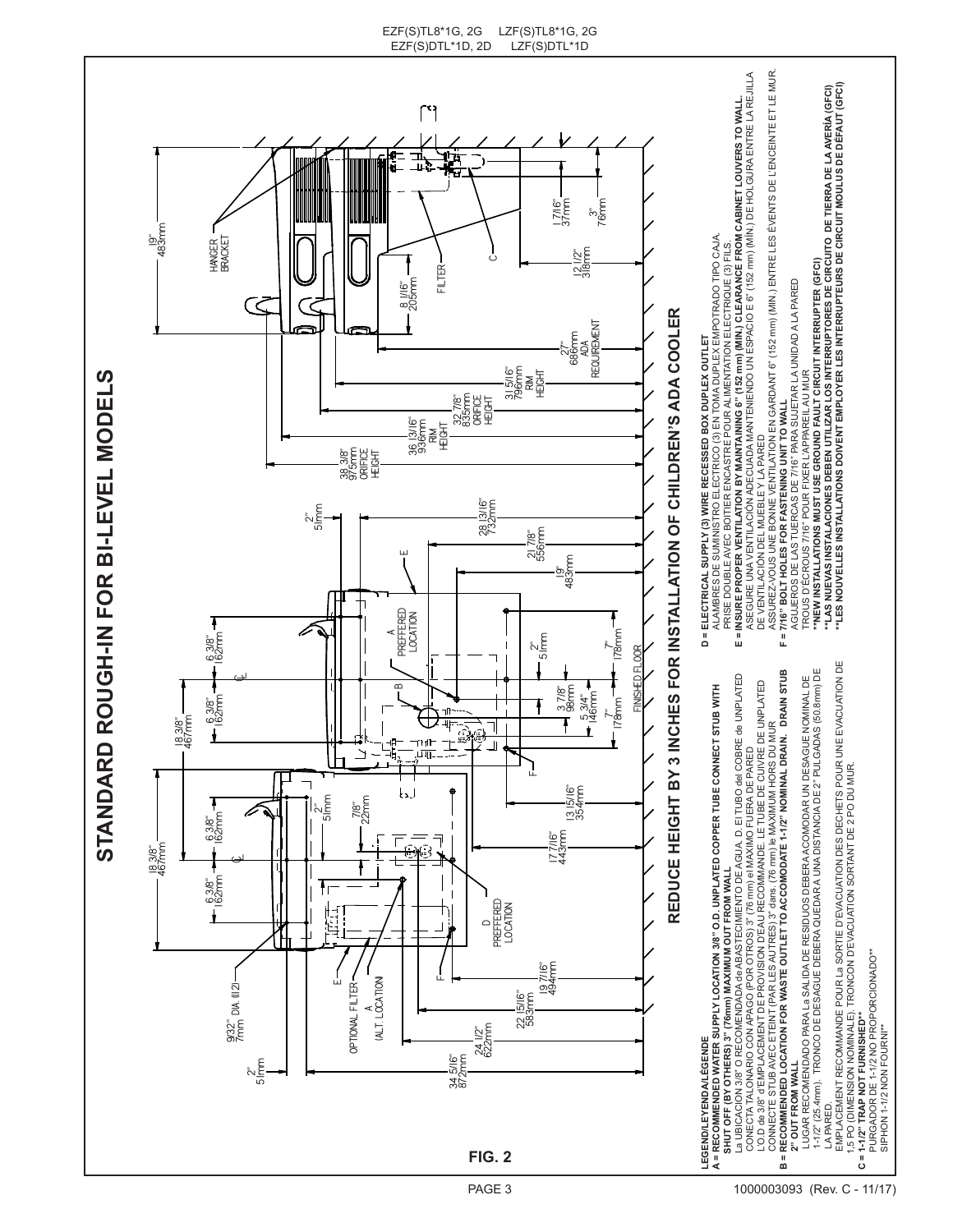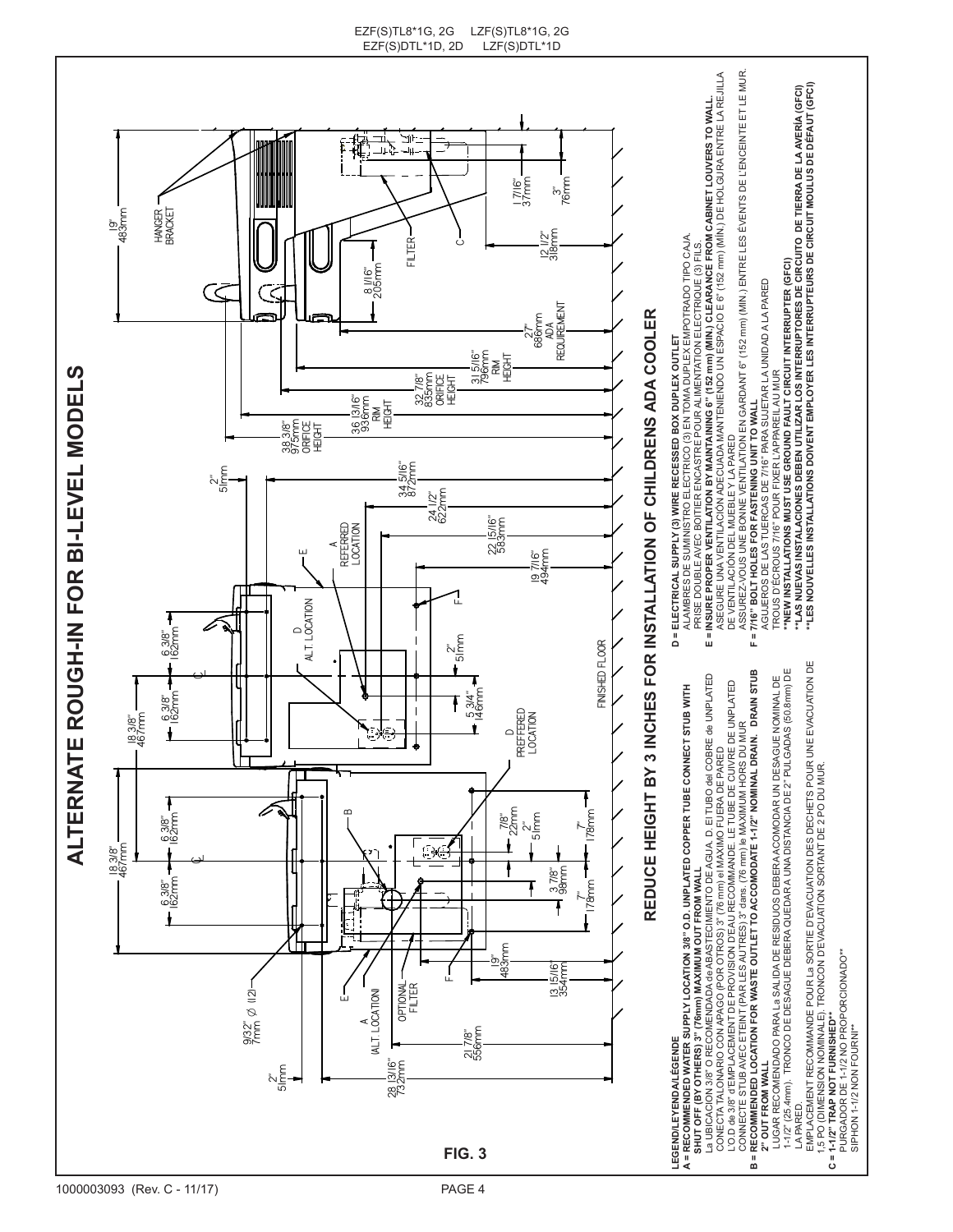

SIPHON 1-1/2 NON FOURNI\*\*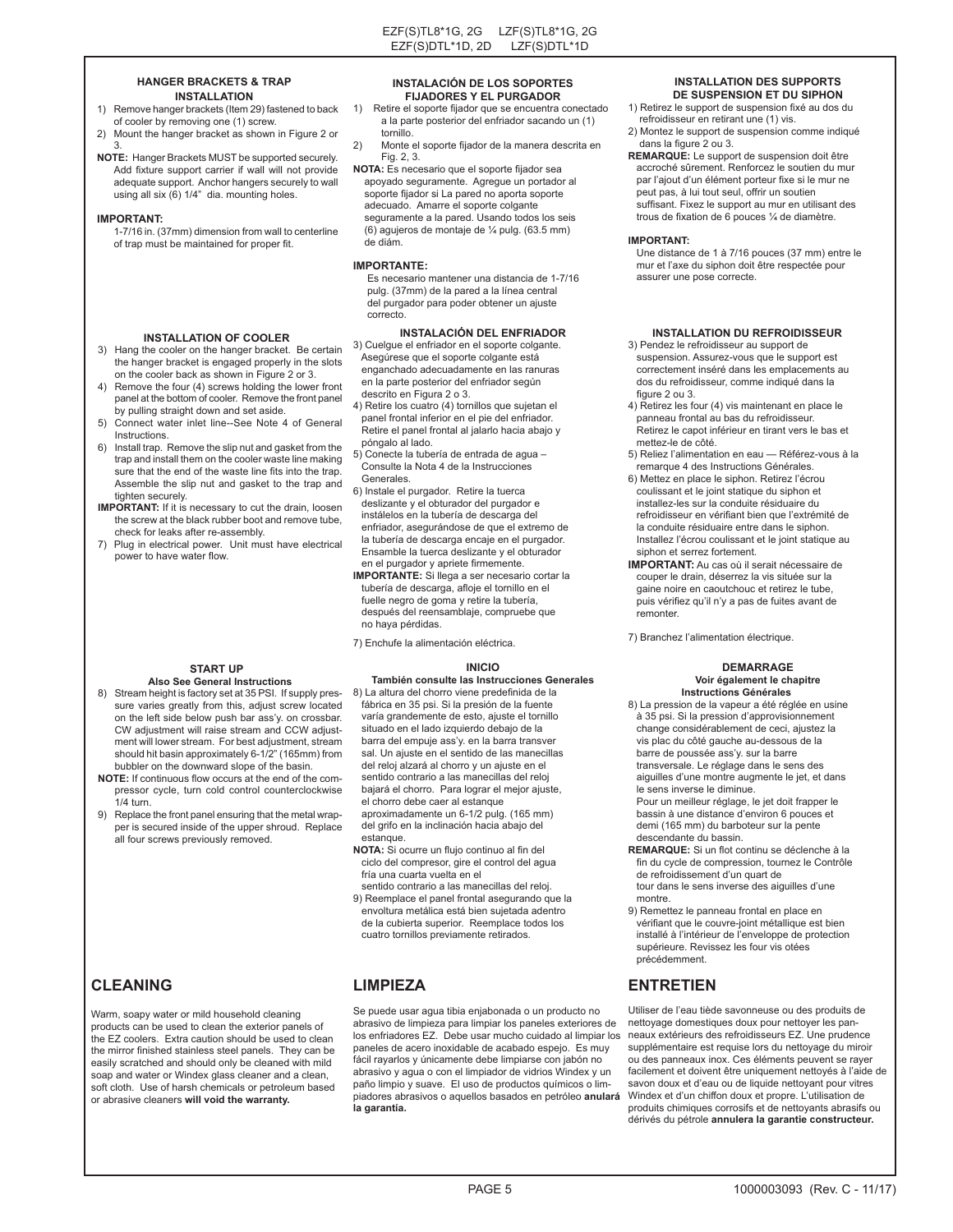#### **HANGER BRACKETS & TRAP INSTALLATION**

- 1) Remove hanger brackets (Item 29) fastened to back of cooler by removing one (1) screw.
- 2) Mount the hanger bracket as shown in Figure 2 or 3.
- **NOTE:** Hanger Brackets MUST be supported securely. Add fixture support carrier if wall will not provide adequate support. Anchor hangers securely to wall using all six (6) 1/4" dia. mounting holes.

#### **IMPORTANT:**

Instructions.

tighten securely.

1-7/16 in. (37mm) dimension from wall to centerline of trap must be maintained for proper fit.

**INSTALLATION OF COOLER** 3) Hang the cooler on the hanger bracket. Be certain the hanger bracket is engaged properly in the slots on the cooler back as shown in Figure 2 or 3. 4) Remove the four (4) screws holding the lower front panel at the bottom of cooler. Remove the front panel

6) Install trap. Remove the slip nut and gasket from the trap and install them on the cooler waste line making sure that the end of the waste line fits into the trap. Assemble the slip nut and gasket to the trap and

**IMPORTANT:** If it is necessary to cut the drain, loosen the screw at the black rubber boot and remove tube,

7) Plug in electrical power. Unit must have electrical

**START UP Also See General Instructions** 8) Stream height is factory set at 35 PSI. If supply pressure varies greatly from this, adjust screw located on the left side below push bar ass'y. on crossbar. CW adjustment will raise stream and CCW adjustment will lower stream. For best adjustment, stream should hit basin approximately 6-1/2" (165mm) from bubbler on the downward slope of the basin. **NOTE:** If continuous flow occurs at the end of the compressor cycle, turn cold control counterclockwise

9) Replace the front panel ensuring that the metal wrapper is secured inside of the upper shroud. Replace

all four screws previously removed.

by pulling straight down and set aside. 5) Connect water inlet line--See Note 4 of General

check for leaks after re-assembly.

power to have water flow.

#### **INSTALACIÓN DE LOS SOPORTES FIJADORES Y EL PURGADOR**

- 1) Retire el soporte fijador que se encuentra conectado a la parte posterior del enfriador sacando un (1) tornillo.
- 2) Monte el soporte fijador de la manera descrita en Fig. 2, 3.
- **NOTA:** Es necesario que el soporte fijador sea apoyado seguramente. Agregue un portador al soporte fijador si La pared no aporta soporte adecuado. Amarre el soporte colgante seguramente a la pared. Usando todos los seis (6) agujeros de montaje de ¼ pulg. (63.5 mm) de diám.

#### **IMPORTANTE:**

 Es necesario mantener una distancia de 1-7/16 pulg. (37mm) de la pared a la línea central del purgador para poder obtener un ajuste correcto.

### **INSTALACIÓN DEL ENFRIADOR**

3) Cuelgue el enfriador en el soporte colgante. Asegúrese que el soporte colgante está enganchado adecuadamente en las ranuras en la parte posterior del enfriador según descrito en Figura 2 o 3.

- 4) Retire los cuatro (4) tornillos que sujetan el panel frontal inferior en el pie del enfriador. Retire el panel frontal al jalarlo hacia abajo y póngalo al lado.
- 5) Conecte la tubería de entrada de agua Consulte la Nota 4 de la Instrucciones Generales.
- 6) Instale el purgador. Retire la tuerca deslizante y el obturador del purgador e instálelos en la tubería de descarga del enfriador, asegurándose de que el extremo de la tubería de descarga encaje en el purgador. Ensamble la tuerca deslizante y el obturador en el purgador y apriete firmemente.
- **IMPORTANTE:** Si llega a ser necesario cortar la tubería de descarga, afloje el tornillo en el fuelle negro de goma y retire la tubería, después del reensamblaje, compruebe que no haya pérdidas.

7) Enchufe la alimentación eléctrica.

#### **INICIO**

## **También consulte las Instrucciones Generales**

- 8) La altura del chorro viene predefinida de la fábrica en 35 psi. Si la presión de la fuente varía grandemente de esto, ajuste el tornillo situado en el lado izquierdo debajo de la barra del empuje ass'y. en la barra transver sal. Un ajuste en el sentido de las manecillas del reloj alzará al chorro y un ajuste en el sentido contrario a las manecillas del reloj bajará el chorro. Para lograr el mejor ajuste, el chorro debe caer al estanque aproximadamente un 6-1/2 pulg. (165 mm) del grifo en la inclinación hacia abajo del estanque.
- **NOTA:** Si ocurre un flujo continuo al fin del ciclo del compresor, gire el control del agua fría una cuarta vuelta en el
- sentido contrario a las manecillas del reloj. 9) Reemplace el panel frontal asegurando que la envoltura metálica está bien sujetada adentro
- de la cubierta superior. Reemplace todos los cuatro tornillos previamente retirados.

Se puede usar agua tibia enjabonada o un producto no abrasivo de limpieza para limpiar los paneles exteriores de los enfriadores EZ. Debe usar mucho cuidado al limpiar los paneles de acero inoxidable de acabado espejo. Es muy fácil rayarlos y únicamente debe limpiarse con jabón no abrasivo y agua o con el limpiador de vidrios Windex y un paño limpio y suave. El uso de productos químicos o limpiadores abrasivos o aquellos basados en petróleo **anulará la garantía.**

### **INSTALLATION DES SUPPORTS DE SUSPENSION ET DU SIPHON**

- 1) Retirez le support de suspension fixé au dos du refroidisseur en retirant une (1) vis.
- 2) Montez le support de suspension comme indiqué dans la figure 2 ou 3.
- **REMARQUE:** Le support de suspension doit être accroché sûrement. Renforcez le soutien du mur par l'ajout d'un élément porteur fixe si le mur ne peut pas, à lui tout seul, offrir un soutien suffisant. Fixez le support au mur en utilisant des trous de fixation de 6 pouces ¼ de diamètre.

#### **IMPORTANT:**

 Une distance de 1 à 7/16 pouces (37 mm) entre le mur et l'axe du siphon doit être respectée pour assurer une pose correcte.

### **INSTALLATION DU REFROIDISSEUR**

- 3) Pendez le refroidisseur au support de suspension. Assurez-vous que le support est correctement inséré dans les emplacements au dos du refroidisseur, comme indiqué dans la figure 2 ou 3.
- 4) Retirez les four (4) vis maintenant en place le panneau frontal au bas du refroidisseur. Retirez le capot inférieur en tirant vers le bas et mettez-le de côté.
- 5) Reliez l'alimentation en eau Référez-vous à la remarque 4 des Instructions Générales.
- 6) Mettez en place le siphon. Retirez l'écrou coulissant et le joint statique du siphon et installez-les sur la conduite résiduaire du refroidisseur en vérifiant bien que l'extrémité de la conduite résiduaire entre dans le siphon. Installez l'écrou coulissant et le joint statique au siphon et serrez fortement.
- **IMPORTANT:** Au cas où il serait nécessaire de couper le drain, déserrez la vis située sur la gaine noire en caoutchouc et retirez le tube, puis vérifiez qu'il n'y a pas de fuites avant de remonter.

7) Branchez l'alimentation électrique.

#### **DEMARRAGE Voir également le chapitre Instructions Générales**

8) La pression de la vapeur a été réglée en usine à 35 psi. Si la pression d'approvisionnement change considérablement de ceci, ajustez la vis plac du côté gauche au-dessous de la barre de poussée ass'y. sur la barre transversale. Le réglage dans le sens des aiguilles d'une montre augmente le jet, et dans

 le sens inverse le diminue. Pour un meilleur réglage, le jet doit frapper le bassin à une distance d'environ 6 pouces et demi (165 mm) du barboteur sur la pente descendante du bassin.

- **REMARQUE:** Si un flot continu se déclenche à la fin du cycle de compression, tournez le Contrôle de refroidissement d'un quart de tour dans le sens inverse des aiguilles d'une montre.
- 9) Remettez le panneau frontal en place en vérifiant que le couvre-joint métallique est bien installé à l'intérieur de l'enveloppe de protection supérieure. Revissez les four vis otées précédemment.

### **CLEANING LIMPIEZA ENTRETIEN**

Utiliser de l'eau tiède savonneuse ou des produits de nettoyage domestiques doux pour nettoyer les panneaux extérieurs des refroidisseurs EZ. Une prudence supplémentaire est requise lors du nettoyage du miroir ou des panneaux inox. Ces éléments peuvent se rayer facilement et doivent être uniquement nettoyés à l'aide de savon doux et d'eau ou de liquide nettoyant pour vitres Windex et d'un chiffon doux et propre. L'utilisation de produits chimiques corrosifs et de nettoyants abrasifs ou dérivés du pétrole **annulera la garantie constructeur.**

 $1/4$  turn.

Warm, soapy water or mild household cleaning products can be used to clean the exterior panels of the EZ coolers. Extra caution should be used to clean the mirror finished stainless steel panels. They can be easily scratched and should only be cleaned with mild soap and water or Windex glass cleaner and a clean, soft cloth. Use of harsh chemicals or petroleum based or abrasive cleaners **will void the warranty.**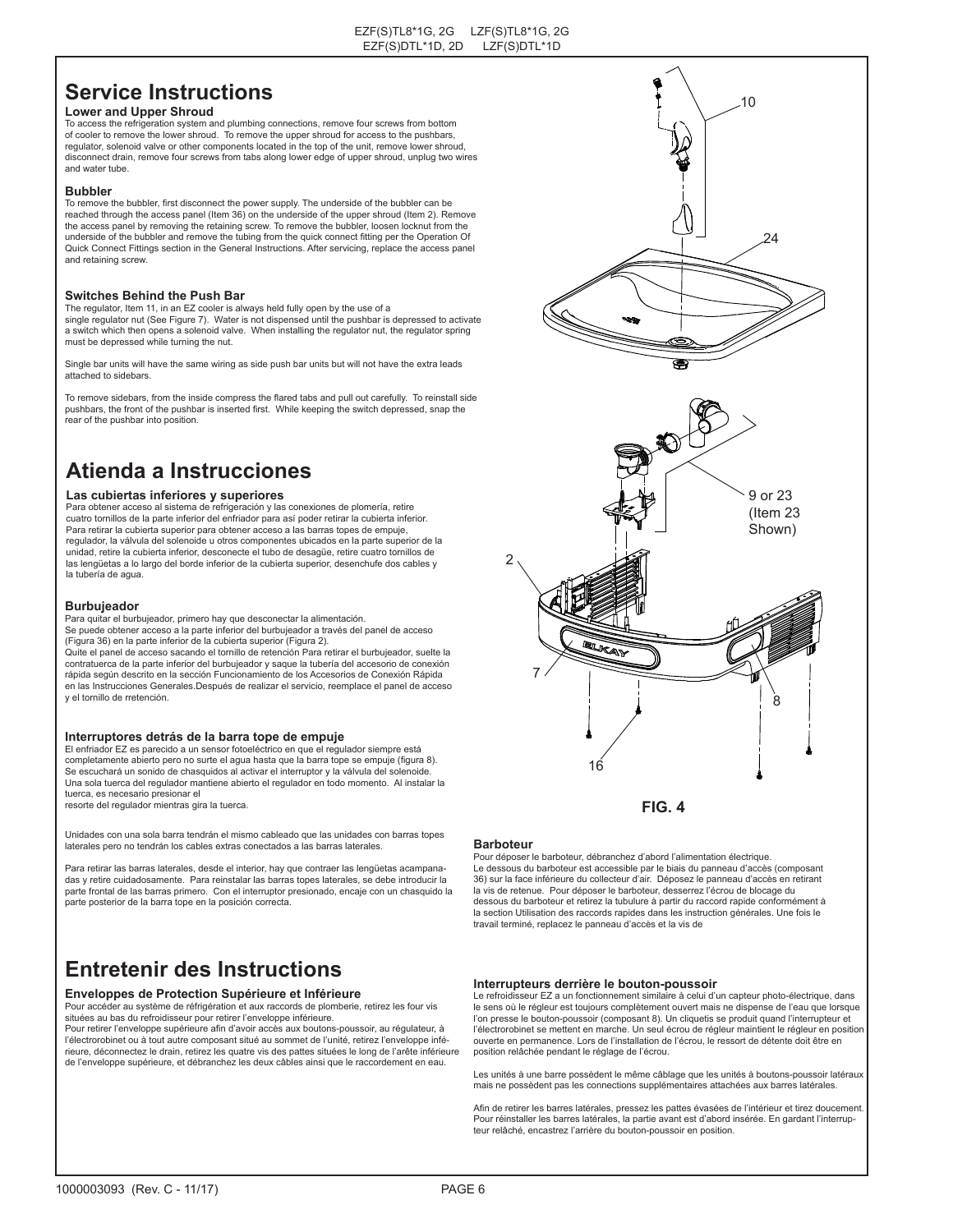# **Service Instructions**

### **Lower and Upper Shroud**

To access the refrigeration system and plumbing connections, remove four screws from bottom of cooler to remove the lower shroud. To remove the upper shroud for access to the pushbars, regulator, solenoid valve or other components located in the top of the unit, remove lower shroud, disconnect drain, remove four screws from tabs along lower edge of upper shroud, unplug two wires and water tube.

#### **Bubbler**

To remove the bubbler, first disconnect the power supply. The underside of the bubbler can be reached through the access panel (Item 36) on the underside of the upper shroud (Item 2). Remove the access panel by removing the retaining screw. To remove the bubbler, loosen locknut from the underside of the bubbler and remove the tubing from the quick connect fitting per the Operation Of Quick Connect Fittings section in the General Instructions. After servicing, replace the access panel and retaining screw.

#### **Switches Behind the Push Bar**

The regulator, Item 11, in an EZ cooler is always held fully open by the use of a single regulator nut (See Figure 7). Water is not dispensed until the pushbar is depressed to activate a switch which then opens a solenoid valve. When installing the regulator nut, the regulator spring must be depressed while turning the nut.

Single bar units will have the same wiring as side push bar units but will not have the extra leads attached to sidebars.

To remove sidebars, from the inside compress the flared tabs and pull out carefully. To reinstall side pushbars, the front of the pushbar is inserted first. While keeping the switch depressed, snap the rear of the pushbar into position.

# **Atienda a Instrucciones**

### **Las cubiertas inferiores y superiores**

Para obtener acceso al sistema de refrigeración y las conexiones de plomería, retire cuatro tornillos de la parte inferior del enfriador para así poder retirar la cubierta inferior. Para retirar la cubierta superior para obtener acceso a las barras topes de empuje, regulador, la válvula del solenoide u otros componentes ubicados en la parte superior de la unidad, retire la cubierta inferior, desconecte el tubo de desagüe, retire cuatro tornillos de las lengüetas a lo largo del borde inferior de la cubierta superior, desenchufe dos cables y la tubería de agua.

#### **Burbujeador**

y el tornillo de rretención.

Para quitar el burbujeador, primero hay que desconectar la alimentación. Se puede obtener acceso a la parte inferior del burbujeador a través del panel de acceso (Figura 36) en la parte inferior de la cubierta superior (Figura 2). Quite el panel de acceso sacando el tornillo de retención Para retirar el burbujeador, suelte la contratuerca de la parte inferior del burbujeador y saque la tubería del accesorio de conexión rápida según descrito en la sección Funcionamiento de los Accesorios de Conexión Rápida en las Instrucciones Generales.Después de realizar el servicio, reemplace el panel de acceso

#### **Interruptores detrás de la barra tope de empuje**

El enfriador EZ es parecido a un sensor fotoeléctrico en que el regulador siempre está completamente abierto pero no surte el agua hasta que la barra tope se empuje (figura 8). Se escuchará un sonido de chasquidos al activar el interruptor y la válvula del solenoide. Una sola tuerca del regulador mantiene abierto el regulador en todo momento. Al instalar la tuerca, es necesario presionar el resorte del regulador mientras gira la tuerca.

Unidades con una sola barra tendrán el mismo cableado que las unidades con barras topes laterales pero no tendrán los cables extras conectados a las barras laterales.

Para retirar las barras laterales, desde el interior, hay que contraer las lengüetas acampanadas y retire cuidadosamente. Para reinstalar las barras topes laterales, se debe introducir la parte frontal de las barras primero. Con el interruptor presionado, encaje con un chasquido la parte posterior de la barra tope en la posición correcta.

# **Entretenir des Instructions**

#### **Enveloppes de Protection Supérieure et Inférieure**

Pour accéder au système de réfrigération et aux raccords de plomberie, retirez les four vis situées au bas du refroidisseur pour retirer l'enveloppe inférieure. Pour retirer l'enveloppe supérieure afin d'avoir accès aux boutons-poussoir, au régulateur, à

l'électrorobinet ou à tout autre composant situé au sommet de l'unité, retirez l'enveloppe inférieure, déconnectez le drain, retirez les quatre vis des pattes situées le long de l'arête inférieure de l'enveloppe supérieure, et débranchez les deux câbles ainsi que le raccordement en eau.



#### **Barboteur**

Pour déposer le barboteur, débranchez d'abord l'alimentation électrique. Le dessous du barboteur est accessible par le biais du panneau d'accès (composant 36) sur la face inférieure du collecteur d'air. Déposez le panneau d'accès en retirant la vis de retenue. Pour déposer le barboteur, desserrez l'écrou de blocage du dessous du barboteur et retirez la tubulure à partir du raccord rapide conformément à la section Utilisation des raccords rapides dans les instruction générales. Une fois le travail terminé, replacez le panneau d'accès et la vis de

#### **Interrupteurs derrière le bouton-poussoir**

Le refroidisseur EZ a un fonctionnement similaire à celui d'un capteur photo-électrique, dans le sens où le régleur est toujours complètement ouvert mais ne dispense de l'eau que lorsque l'on presse le bouton-poussoir (composant 8). Un cliquetis se produit quand l'interrupteur et l'électrorobinet se mettent en marche. Un seul écrou de régleur maintient le régleur en position ouverte en permanence. Lors de l'installation de l'écrou, le ressort de détente doit être en position relâchée pendant le réglage de l'écrou.

Les unités à une barre possèdent le même câblage que les unités à boutons-poussoir latéraux mais ne possèdent pas les connections supplémentaires attachées aux barres latérales.

Afin de retirer les barres latérales, pressez les pattes évasées de l'intérieur et tirez doucement. Pour réinstaller les barres latérales, la partie avant est d'abord insérée. En gardant l'interrupteur relâché, encastrez l'arrière du bouton-poussoir en position.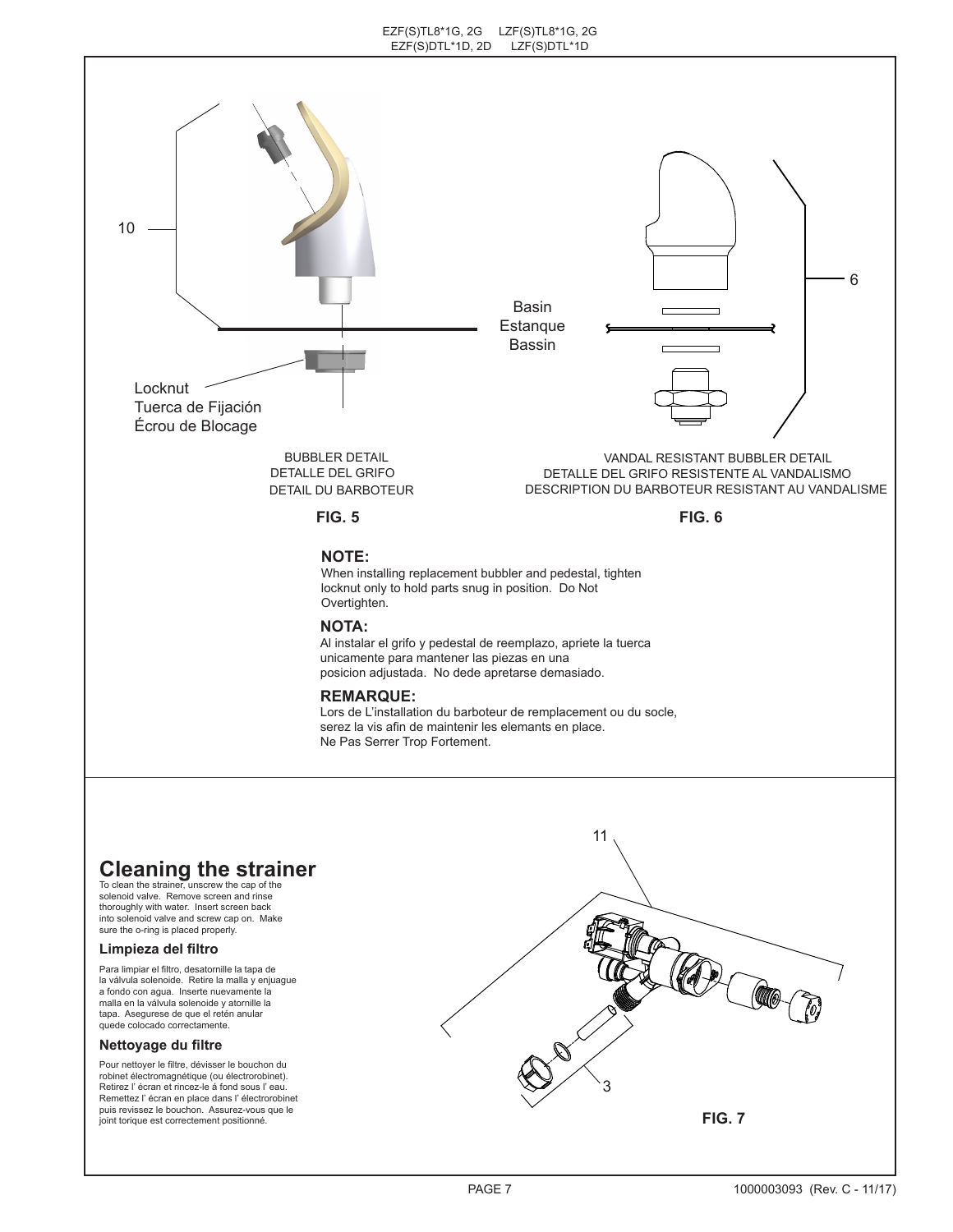

# **Cleaning the strainer** To clean the strainer, unscrew the cap of the

solenoid valve. Remove screen and rinse thoroughly with water. Insert screen back into solenoid valve and screw cap on. Make sure the o-ring is placed properly.

### **Limpieza del filtro**

Para limpiar el filtro, desatornille la tapa de la válvula solenoide. Retire la malla y enjuague a fondo con agua. Inserte nuevamente la malla en la válvula solenoide y atornille la tapa. Asegurese de que el retén anular quede colocado correctamente.

#### **Nettoyage du filtre**

Pour nettoyer le filtre, dévisser le bouchon du robinet électromagnétique (ou électrorobinet). Retirez l' écran et rincez-le á fond sous l' eau. Remettez l' écran en place dans l' électrorobinet puis revissez le bouchon. Assurez-vous que le joint torique est correctement positionné.

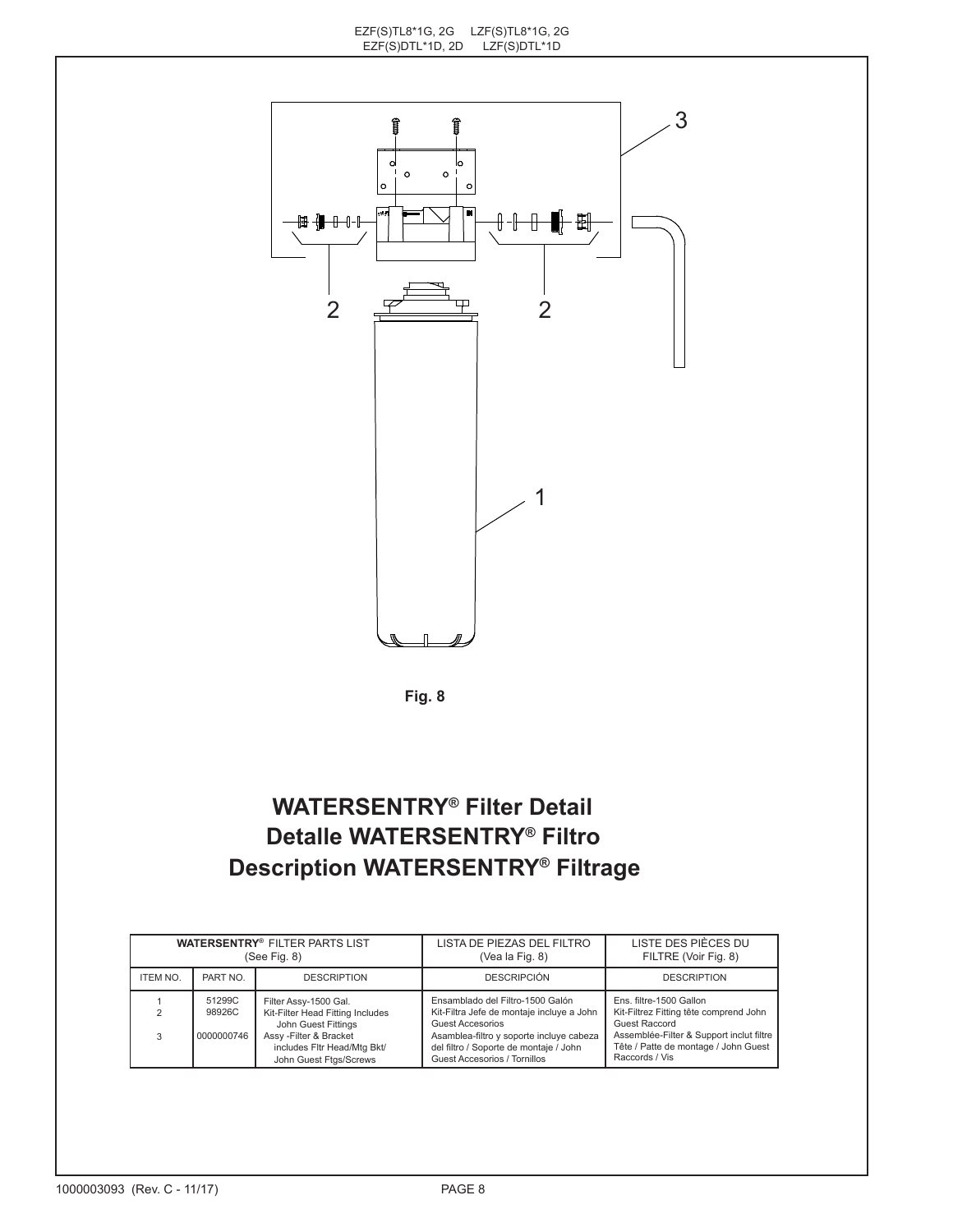

**Fig. 8**

# **WATERSENTRY® Filter Detail Detalle WATERSENTRY® Filtro Description WATERSENTRY® Filtrage**

| <b>WATERSENTRY® FILTER PARTS LIST</b><br>(See Fig. 8) |                                |                                                                                                                                          | LISTA DE PIEZAS DEL FILTRO<br>(Vea la Fig. 8)                                                                                                                                           | LISTE DES PIÈCES DU<br>FILTRE (Voir Fig. 8)                                                                                                                            |
|-------------------------------------------------------|--------------------------------|------------------------------------------------------------------------------------------------------------------------------------------|-----------------------------------------------------------------------------------------------------------------------------------------------------------------------------------------|------------------------------------------------------------------------------------------------------------------------------------------------------------------------|
| ITEM NO.                                              | PART NO.                       | <b>DESCRIPTION</b>                                                                                                                       | <b>DESCRIPCIÓN</b>                                                                                                                                                                      | <b>DESCRIPTION</b>                                                                                                                                                     |
|                                                       | 51299C<br>98926C<br>0000000746 | Filter Assy-1500 Gal.<br>Kit-Filter Head Fitting Includes<br>John Guest Fittings<br>Assy-Filter & Bracket<br>includes Fltr Head/Mtg Bkt/ | Ensamblado del Filtro-1500 Galón<br>Kit-Filtra Jefe de montaje incluye a John<br>Guest Accesorios<br>Asamblea-filtro y soporte incluye cabeza<br>del filtro / Soporte de montaje / John | Ens. filtre-1500 Gallon<br>Kit-Filtrez Fitting tête comprend John<br>Guest Raccord<br>Assemblée-Filter & Support inclut filtre<br>Tête / Patte de montage / John Guest |
|                                                       |                                | John Guest Ftgs/Screws                                                                                                                   | Guest Accesorios / Tornillos                                                                                                                                                            | Raccords / Vis                                                                                                                                                         |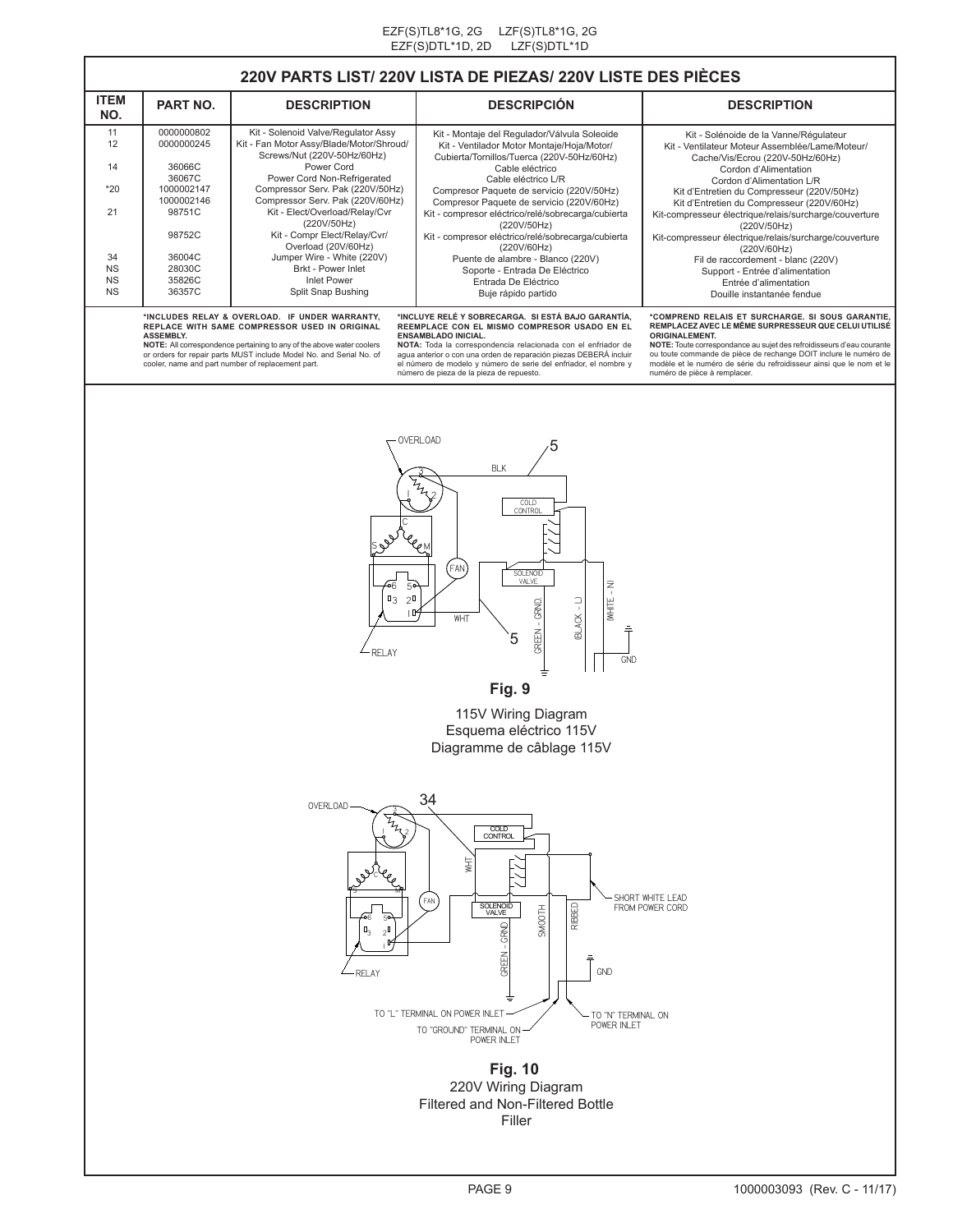### **220V PARTS LIST/ 220V LISTA DE PIEZAS/ 220V LISTE DES PIÈCES**

| <b>ITEM</b><br>NO.                | PART NO.                                                               | <b>DESCRIPTION</b>                                                                                                                                                                                                                                                                                   | <b>DESCRIPCIÓN</b>                                                                                                                                                                                                                                                                                                                                                                                                                                                                                                                           | <b>DESCRIPTION</b>                                                                                                                                                                                                                                                                                                                                                                                                                                                                                                                                                |  |
|-----------------------------------|------------------------------------------------------------------------|------------------------------------------------------------------------------------------------------------------------------------------------------------------------------------------------------------------------------------------------------------------------------------------------------|----------------------------------------------------------------------------------------------------------------------------------------------------------------------------------------------------------------------------------------------------------------------------------------------------------------------------------------------------------------------------------------------------------------------------------------------------------------------------------------------------------------------------------------------|-------------------------------------------------------------------------------------------------------------------------------------------------------------------------------------------------------------------------------------------------------------------------------------------------------------------------------------------------------------------------------------------------------------------------------------------------------------------------------------------------------------------------------------------------------------------|--|
| 11<br>12<br>14<br>$*20$           | 0000000802<br>0000000245<br>36066C<br>36067C<br>1000002147             | Kit - Solenoid Valve/Regulator Assy<br>Kit - Fan Motor Assy/Blade/Motor/Shroud/<br>Screws/Nut (220V-50Hz/60Hz)<br>Power Cord<br>Power Cord Non-Refrigerated<br>Compressor Serv. Pak (220V/50Hz)                                                                                                      | Kit - Montaje del Regulador/Válvula Soleoide<br>Kit - Ventilador Motor Montaje/Hoja/Motor/<br>Cubierta/Tornillos/Tuerca (220V-50Hz/60Hz)<br>Cable eléctrico<br>Cable eléctrico L/R<br>Compresor Paquete de servicio (220V/50Hz)<br>Compresor Paquete de servicio (220V/60Hz)<br>Kit - compresor eléctrico/relé/sobrecarga/cubierta<br>(220V/50Hz)<br>Kit - compresor eléctrico/relé/sobrecarga/cubierta<br>(220V/60Hz)<br>Puente de alambre - Blanco (220V)<br>Soporte - Entrada De Eléctrico<br>Entrada De Eléctrico<br>Buje rápido partido | Kit - Solénoide de la Vanne/Régulateur<br>Kit - Ventilateur Moteur Assemblée/Lame/Moteur/<br>Cache/Vis/Ecrou (220V-50Hz/60Hz)<br>Cordon d'Alimentation<br>Cordon d'Alimentation L/R<br>Kit d'Entretien du Compresseur (220V/50Hz)<br>Kit d'Entretien du Compresseur (220V/60Hz)<br>Kit-compresseur électrique/relais/surcharge/couverture<br>(220V/50Hz)<br>Kit-compresseur électrique/relais/surcharge/couverture<br>(220V/60Hz)<br>Fil de raccordement - blanc (220V)<br>Support - Entrée d'alimentation<br>Entrée d'alimentation<br>Douille instantanée fendue |  |
| 21<br>34<br>NS<br>NS<br><b>NS</b> | 1000002146<br>98751C<br>98752C<br>36004C<br>28030C<br>35826C<br>36357C | Compressor Serv. Pak (220V/60Hz)<br>Kit - Elect/Overload/Relay/Cvr<br>(220V/50Hz)<br>Kit - Compr Elect/Relay/Cvr/<br>Overload (20V/60Hz)<br>Jumper Wire - White (220V)<br>Brkt - Power Inlet<br><b>Inlet Power</b><br>Split Snap Bushing                                                             |                                                                                                                                                                                                                                                                                                                                                                                                                                                                                                                                              |                                                                                                                                                                                                                                                                                                                                                                                                                                                                                                                                                                   |  |
|                                   | <b>ASSEMBLY.</b>                                                       | *INCLUDES RELAY & OVERLOAD. IF UNDER WARRANTY.<br>REPLACE WITH SAME COMPRESSOR USED IN ORIGINAL<br>NOTE: All correspondence pertaining to any of the above water coolers<br>or orders for repair parts MUST include Model No. and Serial No. of<br>cooler, name and part number of replacement part. | *INCLUYE RELÉ Y SOBRECARGA. SI ESTÁ BAJO GARANTÍA.<br>REEMPLACE CON EL MISMO COMPRESOR USADO EN EL<br><b>ENSAMBLADO INICIAL.</b><br>NOTA: Toda la correspondencia relacionada con el enfriador de<br>aqua anterior o con una orden de reparación piezas DEBERÁ incluir<br>el número de modelo y número de serie del enfriador, el nombre y<br>número de pieza de la pieza de repuesto.                                                                                                                                                       | *COMPREND RELAIS ET SURCHARGE. SI SOUS GARANTIE.<br>REMPLACEZ AVEC LE MÊME SURPRESSEUR QUE CELUI UTILISÉ<br><b>ORIGINALEMENT.</b><br>NOTE: Toute correspondance au sujet des refroidisseurs d'eau courante<br>ou toute commande de pièce de rechange DOIT inclure le numéro de<br>modèle et le numéro de série du refroidisseur ainsi que le nom et le<br>numéro de pièce à remplacer.                                                                                                                                                                            |  |



**Fig. 9**

115V Wiring Diagram Esquema eléctrico 115V Diagramme de câblage 115V



**Fig. 10** 220V Wiring Diagram Filtered and Non-Filtered Bottle Filler